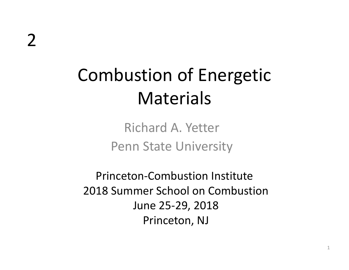# Combustion of Energetic Materials

Richard A. Yetter Penn State University

Princeton‐Combustion Institute 2018 Summer School on Combustion June 25‐29, 2018 Princeton, NJ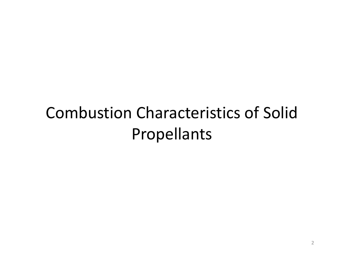### Combustion Characteristics of Solid Propellants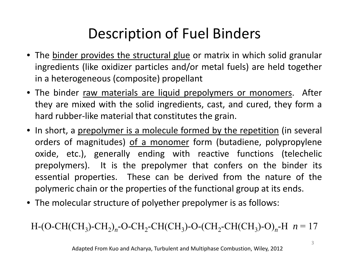#### Description of Fuel Binders

- The <u>binder provides the structural glue</u> or matrix in which solid granular ingredients (like oxidizer particles and/or metal fuels) are held together in <sup>a</sup> heterogeneous (composite) propellant
- The binder <u>raw materials are liquid prepolymers or monomers</u>. After they are mixed with the solid ingredients, cast, and cured, they form <sup>a</sup> hard rubber‐like material that constitutes the grain.
- In short, a <u>prepolymer is a molecule formed by the repetition</u> (in several orders of magnitudes) of a monomer form (butadiene, polypropylene oxide, etc.), generally ending with reactive functions (telechelic prepolymers). It is the prepolymer that confers on the binder its essential properties. These can be derived from the nature of the polymeric chain or the properties of the functional group at its ends.
- The molecular structure of polyether prepolymer is as follows:

 $H$ -(O-CH(CH<sub>3</sub>)-CH<sub>2</sub>)<sub>n</sub>-O-CH<sub>2</sub>-CH(CH<sub>3</sub>)-O-(CH<sub>2</sub>-CH(CH<sub>3</sub>)-O)<sub>n</sub>-H  $n = 17$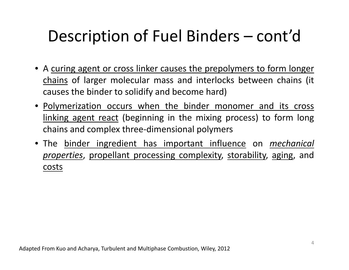### Description of Fuel Binders – cont'd

- A curing agent or cross linker causes the prepolymers to form longer chains of larger molecular mass and interlocks between chains (it causes the binder to solidify and become hard)
- Polymerization occurs when the binder monomer and its cross linking agent react (beginning in the mixing process) to form long chains and complex three‐dimensional polymers
- The binder ingredient has important influence on *mechanical properties*, propellant processing complexity, storability, aging, and costs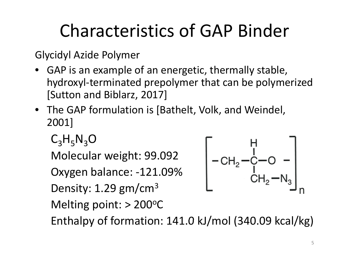# Characteristics of GAP Binder

Glycidyl Azide Polymer

- • GAP is an example of an energetic, thermally stable, hydroxyl-terminated prepolymer that can be polymerized [Sutton and Biblarz, 2017]
- The GAP formulation is [Bathelt, Volk, and Weindel, 2001]

 $C_3H_5N_3O$ 

Molecular weight: 99.092

Oxygen balance: ‐121.09%

Density: 1.29  $\text{gm/cm}^3$ 

Melting point:  $> 200^{\circ}$ C



Enthalpy of formation:  $141.0 \text{ kJ/mol}$  (340.09 kcal/kg)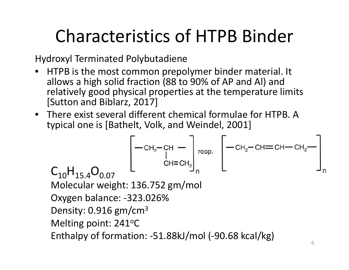# Characteristics of HTPB Binder

Hydroxyl Terminated Polybutadiene

- HTPB is the most common prepolymer binder material. It allows a high solid fraction (88 to 90% of AP and Al) and relatively good physical properties at the temperature limits [Sutton and Biblarz, 2017]
- There exist several different chemical formulae for HTPB. A typical one is [Bathelt, Volk, and Weindel, 2001]

$$
\begin{bmatrix}\n-\text{CH}_2-\text{CH} - \\
\text{C}_{10} & \text{C}_{10} & -\text{CH}_2-\text{CH}=\text{CH}_2-\text{CH}=\text{CH}_2-\text{CH}=\text{CH}_2-\text{CH}_2-\text{CH}_2-\text{CH}_2-\text{CH}_2-\text{CH}_2-\text{CH}_2-\text{CH}_2-\text{CH}_2-\text{CH}_2-\text{CH}_2-\text{CH}_2-\text{CH}_2-\text{CH}_2-\text{CH}_2-\text{CH}_2-\text{CH}_2-\text{CH}_2-\text{CH}_2-\text{CH}_2-\text{CH}_2-\text{CH}_2-\text{CH}_2-\text{CH}_2-\text{CH}_2-\text{CH}_2-\text{CH}_2-\text{CH}_2-\text{CH}_2-\text{CH}_2-\text{CH}_2-\text{CH}_2-\text{CH}_2-\text{CH}_2-\text{CH}_2-\text{CH}_2-\text{CH}_2-\text{CH}_2-\text{CH}_2-\text{CH}_2-\text{CH}_2-\text{CH}_2-\text{CH}_2-\text{CH}_2-\text{CH}_2-\text{CH}_2-\text{CH}_2-\text{CH}_2-\text{CH}_2-\text{CH}_2-\text{CH}_2-\text{CH}_2-\text{CH}_2-\text{CH}_2-\text{CH}_2-\text{CH}_2-\text{CH}_2-\text{CH}_2-\text{CH}_2-\text{CH}_2-\text{CH}_2-\text{CH}_2-\text{CH}_2-\text{CH}_2-\text{CH}_2-\text{CH}_2-\text{CH}_2-\text{CH}_2-\text{CH}_2-\text{CH}_2-\text{CH}_2-\text{CH}_2-\text{CH}_2-\text{CH}_2-\text{CH}_2-\text{CH}_2-\text{CH}_2-\text{CH}_2-\text{CH}_2-\text{CH}_2-\text{CH}_2-\text{CH}_2-\text{CH}_2-\text{CH}_2-\text{CH}_2-\text{CH}_2-\text{CH}_2-\text{CH}_2-\text{CH}_2-\text{CH}_2-\text{CH}_2-\text{CH}_2-\text{CH}_2-\text{CH}_2-\text{CH}_2-\text{CH}_2-\text{CH}_2-\text{CH}_2-\text{CH}_2-\text{CH}_2-\text{CH}_2-\text{CH}_2-\text{CH}_2-\text{CH}_2-\text{CH}_2-\text{CH}_2-\text{CH}_2-\text{CH}_2-\text{CH}_2-\text{CH}_2-\text{CH}_2-\text{CH}_2-\text{CH}_2-\text{CH}_2-\text{CH
$$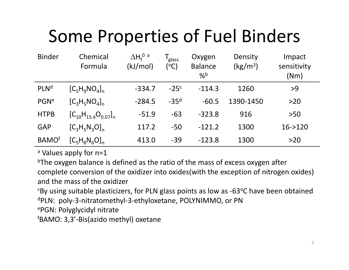# Some Properties of Fuel Binders

| <b>Binder</b>            | Chemical<br>Formula          | $\Delta H_f^{\ 0}$ a<br>(kJ/mol) | l <sub>glass</sub><br>(°C) | Oxygen<br><b>Balance</b><br>$\%$ <sup>b</sup> | Density<br>$\frac{kg}{m^3}$ | Impact<br>sensitivity<br>(Nm) |
|--------------------------|------------------------------|----------------------------------|----------------------------|-----------------------------------------------|-----------------------------|-------------------------------|
| <b>PLNd</b>              | $[C_5H_9NO_4]_n$             | $-334.7$                         | $-25c$                     | $-114.3$                                      | 1260                        | >9                            |
| PGN <sup>e</sup>         | $[C_3H_5NO_4]_n$             | $-284.5$                         | $-35d$                     | $-60.5$                                       | 1390-1450                   | $>20$                         |
| <b>HTPB</b>              | $[C_{10}H_{15.4}O_{0.07}]_n$ | $-51.9$                          | $-63$                      | $-323.8$                                      | 916                         | $>50$                         |
| <b>GAP</b>               | $[C_3H_5N_3O]_n$             | 117.2                            | $-50$                      | $-121.2$                                      | 1300                        | $16 - > 120$                  |
| <b>BAMO</b> <sup>f</sup> | $[C_5H_8N_6O]_n$             | 413.0                            | $-39$                      | $-123.8$                                      | 1300                        | $>20$                         |

<sup>a</sup> Values apply for n=1

<sup>b</sup>The oxygen balance is defined as the ratio of the mass of excess oxygen after complete conversion of the oxidizer into oxides(with the exception of nitrogen oxides) and the mass of the oxidizer

 $c$ By using suitable plasticizers, for PLN glass points as low as -63 $\degree$ C have been obtained dPLN: poly‐3‐nitratomethyl‐3‐ethyloxetane, POLYNIMMO, or PN

ePGN: Polyglycidyl nitrate

<sup>f</sup>BAMO: 3,3'-Bis(azido methyl) oxetane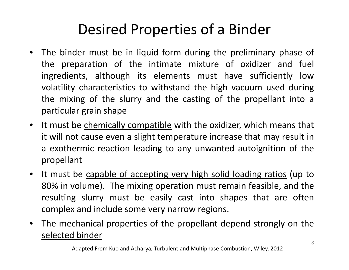#### Desired Properties of <sup>a</sup> Binder

- $\bullet$ • The binder must be in liquid form during the preliminary phase of the preparation of the intimate mixture of oxidizer and fuel ingredients, although its elements must have sufficiently low volatility characteristics to withstand the high vacuum used during the mixing of the slurry and the casting of the propellant into <sup>a</sup> particular grain shape
- $\bullet$ It must be chemically compatible with the oxidizer, which means that it will not cause even <sup>a</sup> slight temperature increase that may result in <sup>a</sup> exothermic reaction leading to any unwanted autoignition of the propellant
- $\bullet$ It must be capable of accepting very high solid loading ratios (up to 80% in volume). The mixing operation must remain feasible, and the resulting slurry must be easily cast into shapes that are often complex and include some very narrow regions.
- $\bullet$ The mechanical properties of the propellant depend strongly on the selected binder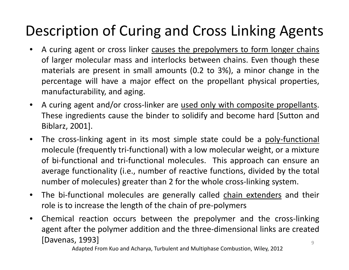#### Description of Curing and Cross Linking Agents

- $\bullet$ • A curing agent or cross linker causes the prepolymers to form longer chains of larger molecular mass and interlocks between chains. Even though these materials are present in small amounts (0.2 to 3%), <sup>a</sup> minor change in the percentage will have <sup>a</sup> major effect on the propellant physical properties, manufacturability, and aging.
- $\bullet$ A curing agent and/or cross-linker are used only with composite propellants. These ingredients cause the binder to solidify and become hard [Sutton and Biblarz, 2001].
- $\bullet$ The cross-linking agent in its most simple state could be a poly-functional molecule (frequently tri‐functional) with <sup>a</sup> low molecular weight, or <sup>a</sup> mixture of bi-functional and tri-functional molecules. This approach can ensure an average functionality (i.e., number of reactive functions, divided by the total number of molecules) greater than 2 for the whole cross‐linking system.
- $\bullet$ The bi-functional molecules are generally called chain extenders and their role is to increase the length of the chain of pre‐polymers
- $\bullet$  Chemical reaction occurs between the prepolymer and the cross‐linking agent after the polymer addition and the three‐dimensional links are created [Davenas, 1993] 9

Adapted From Kuo and Acharya, Turbulent and Multiphase Combustion, Wiley, 2012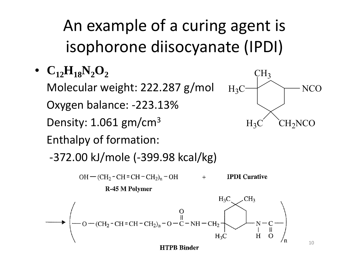An example of <sup>a</sup> curing agent is isophorone diisocyanate (IPDI)

 $\bullet$  **C**<sub>12</sub>**H**<sub>18</sub>**N**<sub>2</sub>**O**<sub>2</sub>

Molecular weight: 222.287 g/mol<br>Oxygen balance: -223.13% Density: 1.061 gm/cm<sup>3</sup><br>Enthalpy of formation:



10

‐372.00 kJ/mole (‐399.98 kcal/kg)

 $OH$  – (CH<sub>2</sub> – CH = CH – CH<sub>2</sub>)<sub>n</sub> – OH  $+$  **IPDI** Curative

R-45 M Polymer

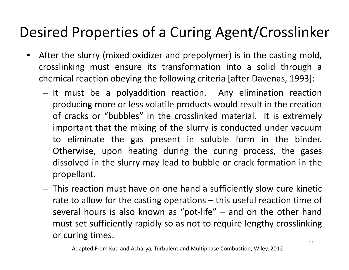#### Desired Properties of <sup>a</sup> Curing Agent/Crosslinker

- $\bullet$  After the slurry (mixed oxidizer and prepolymer) is in the casting mold, crosslinking must ensure its transformation into <sup>a</sup> solid through <sup>a</sup> chemical reaction obeying the following criteria [after Davenas, 1993]:
	- – $-$  It must be a polyaddition reaction. Any elimination reaction producing more or less volatile products would result in the creation of cracks or "bubbles" in the crosslinked material. It is extremely important that the mixing of the slurry is conducted under vacuum to eliminate the gas present in soluble form in the binder. Otherwise, upon heating during the curing process, the gases dissolved in the slurry may lead to bubble or crack formation in the propellant.
	- – $-$  This reaction must have on one hand a sufficiently slow cure kinetic rate to allow for the casting operations – this useful reaction time of several hours is also known as "pot-life" – and on the other hand must set sufficiently rapidly so as not to require lengthy crosslinking or curing times.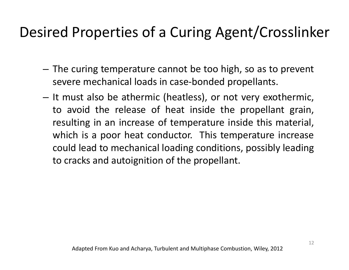#### Desired Properties of <sup>a</sup> Curing Agent/Crosslinker

- The curing temperature cannot be too high, so as to prevent severe mechanical loads in case-bonded propellants.
- $-$  It must also be athermic (heatless), or not very exothermic, to avoid the release of heat inside the propellant grain, resulting in an increase of temperature inside this material, which is <sup>a</sup> poor heat conductor. This temperature increase could lead to mechanical loading conditions, possibly leading to cracks and autoignition of the propellant.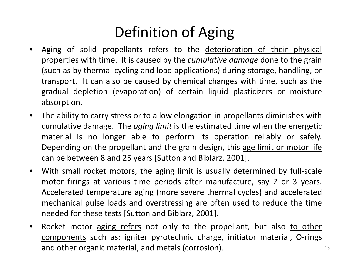#### Definition of Aging

- $\bullet$ Aging of solid propellants refers to the deterioration of their physical properties with time. It is caused by the *cumulative damage* done to the grain (such as by thermal cycling and load applications) during storage, handling, or transport. It can also be caused by chemical changes with time, such as the gradual depletion (evaporation) of certain liquid plasticizers or moisture absorption.
- $\bullet$  The ability to carry stress or to allow elongation in propellants diminishes with cumulative damage. The *aging limit* is the estimated time when the energetic material is no longer able to perform its operation reliably or safely. Depending on the propellant and the grain design, this age limit or motor life can be between 8 and 25 years [Sutton and Biblarz, 2001].
- $\bullet$ With small rocket motors, the aging limit is usually determined by full-scale motor firings at various time periods after manufacture, say 2 or 3 years. Accelerated temperature aging (more severe thermal cycles) and accelerated mechanical pulse loads and overstressing are often used to reduce the time needed for these tests [Sutton and Biblarz, 2001].
- $\bullet$ Rocket motor aging refers not only to the propellant, but also to other components such as: igniter pyrotechnic charge, initiator material, O‐rings and other organic material, and metals (corrosion). The matter of the state of the state of the state of the sta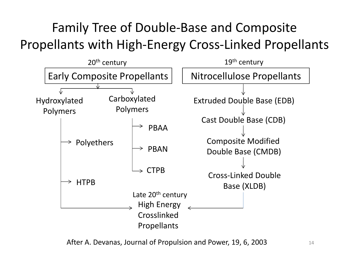#### Family Tree of Double‐Base and Composite Propellants with High‐Energy Cross‐Linked Propellants



After A. Devanas, Journal of Propulsion and Power, 19, 6, 2003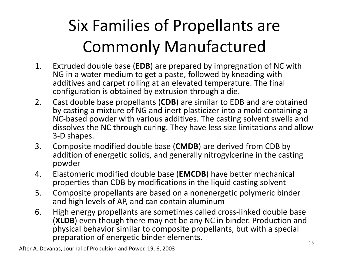# Six Families of Propellants are Commonly Manufactured

- 1. Extruded double base (**EDB**) are prepared by impregnation of NC with NG in a water medium to get a paste, followed by kneading with additives and carpet rolling at an elevated temperature. The final configuration is obtained by extrusion through a die.
- 2. Cast double base propellants (**CDB**) are similar to EDB and are obtained by casting a mixture of NG and inert plasticizer into a mold containing a NC ‐based powder with various additives additives. The casting solvent swells and dissolves the NC through curing. They have less size limitations and allow 3 ‐ D shapes.
- 3. Composite modified double base (**CMDB**) are derived from CDB by addition of energetic solids, and generally nitrogylcerine in the casting powder
- 4. Elastomeric modified double base (**EMCDB**) have better mechanical properties than CDB by modifications in the liquid casting solvent
- 5. Composite propellants are based on a nonenergetic polymeric binder and high levels of AP, and can contain aluminum
- 6. High energy propellants are sometimes called cross ‐linked double base (**XLDB**) even though there may not be any NC in binder. Production and physical behavior similar to composite propellants, but with a special preparation of energetic binder elements.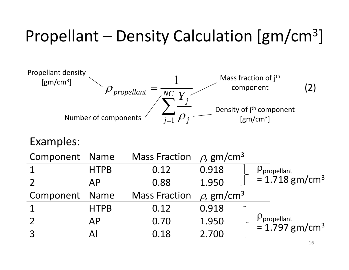# Propellant – Density Calculation [gm/cm3]



| Component Name |             | Mass Fraction $\rho$ , gm/cm <sup>3</sup> |                             |                                                 |  |
|----------------|-------------|-------------------------------------------|-----------------------------|-------------------------------------------------|--|
| $\mathbf 1$    | <b>HTPB</b> | 0.12                                      | 0.918                       | $P$ propellant                                  |  |
| $\overline{2}$ | AP          | 0.88                                      | 1.950                       | $= 1.718$ gm/cm <sup>3</sup>                    |  |
| Component Name |             | <b>Mass Fraction</b>                      | $\rho$ , gm/cm <sup>3</sup> |                                                 |  |
| $\mathbf 1$    | <b>HTPB</b> | 0.12                                      | 0.918                       |                                                 |  |
| $\overline{2}$ | <b>AP</b>   | 0.70                                      | 1.950                       | $P_{\text{propellant}} = 1.797 \text{ gm/cm}^3$ |  |
| $\overline{3}$ | Al          | 0.18                                      | 2.700                       |                                                 |  |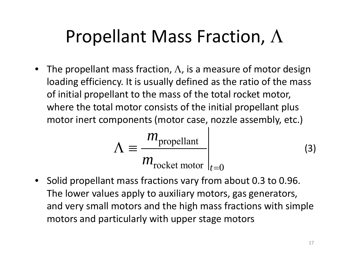# Propellant Mass Fraction,  $\Lambda$

 $\bullet~\,$  The propellant mass fraction,  $\Lambda$ , is a measure of motor design loading efficiency. It is usually defined as the ratio of the mass of initial propellant to the mass of the total rocket motor, where the total motor consists of the initial propellant plus motor inert components (motor case, nozzle assembly, etc.)

$$
\Lambda \equiv \frac{m_{\text{propellant}}}{m_{\text{rocket motor}}}\Big|_{t=0} \tag{3}
$$

 $\bullet$  $\bullet$  Solid propellant mass fractions vary from about 0.3 to 0.96. The lower values apply to auxiliary motors, gas generators, and very small motors and the high mass fractions with simple motors and particularly with upper stage motors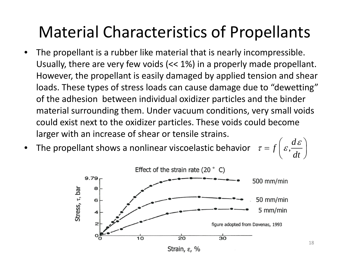#### Material Characteristics of Propellants

- • $\bullet$  The propellant is a rubber like material that is nearly incompressible. Usually, there are very few voids (<< 1%) in <sup>a</sup> properly made propellant. However, the propellant is easily damaged by applied tension and shear loads. These types of stress loads can cause damage due to "dewetting" of the adhesion between individual oxidizer particles and the binder material surrounding them. Under vacuum conditions, very small voids could exist next to the oxidizer particles. These voids could become larger with an increase of shear or tensile strains.
- • $\bullet$  The  $\frac{d\mathcal{L}}{dt}$  e propellant shows a nonlinear viscoelastic behavior  $\tau = f\left(\varepsilon, \frac{d\varepsilon}{dt}\right)$

$$
f\left(\varepsilon,\frac{d\varepsilon}{dt}\right)
$$

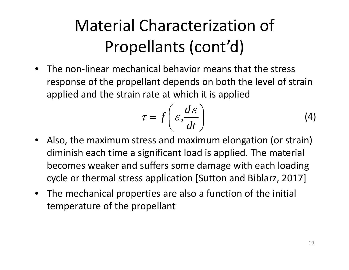# Material Characterization of Propellants (cont'd)

• The non‐linear mechanical behavior means that the stress response of the propellant depends on both the level of strain applied and the strain rate at which it is applied

$$
\tau = f\left(\varepsilon, \frac{d\varepsilon}{dt}\right) \tag{4}
$$

- $\bullet$  Also, the maximum stress and maximum elongation (or strain) diminish each time a significant load is applied. The material becomes weaker and suffers some damage with each loading cycle or thermal stress application [Sutton and Biblarz, 2017]
- The mechanical properties are also <sup>a</sup> function of the initial temperature of the propellant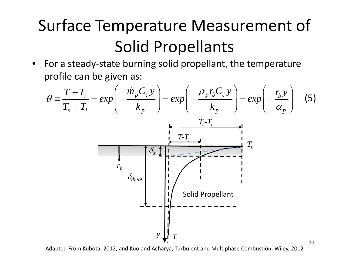## Surface Temperature Measurement of Solid Propellants

•● For a steady-state burning solid propellant, the temperature profile can be given as:



Adapted From Kubota, 2012, and Kuo and Acharya, Turbulent and Multiphase Combustion, Wiley, 2012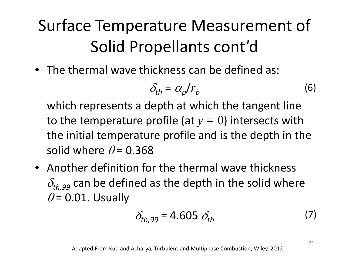## Surface Temperature Measurement of Solid Propellants cont'd

• The thermal wave thickness can be defined as:

$$
\delta_{th} = \alpha_p / r_b \tag{6}
$$

which represents <sup>a</sup> depth at which the tangent line to the temperature profile (at  $y=0$ ) intersects with<br>the initial temperature profile and is the depth in th the initial temperature profile and is the depth in the solid where  $\theta$ = 0.368

• Another definition for the thermal wave thickness  $\delta_{th, 99}$  can be defined as the depth in the solid where  $\theta$  = 0.01. Usually

$$
\delta_{th,99} = 4.605 \delta_{th} \tag{7}
$$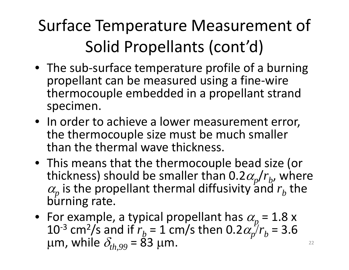# Surface Temperature Measurement of Solid Propellants (cont'd)

- The sub-surface temperature profile of a burning propellant can be measured using a fine ‐wire thermocouple embedded in a propellant strand specimen.
- In or der to achieve a lower measurement error, the thermocouple size must be much smaller than the thermal wave thickness.
- This means that the thermocouple bead size (or thickness) should be smaller than 0.2 $\alpha_{p}$ / $r_{b}$ , where  $\alpha_p$  is the propellant thermal diffusivity and  $r_b$  the burning rate.
- For example, a typical propellant has  $\alpha_p = 1.8$  x<br>10<sup>-3</sup> cm<sup>2</sup>/s and if  $r_k = 1$  cm/s then 0.2 $\alpha_p / r_k = 3.6$ <sup>-3</sup> cm<sup>2</sup>/s and if  $r_b$  = 1 cm/s then 0.2 $\alpha_p^f/r_b$  $\mu$ m, while  $\delta_{\scriptscriptstyle th, 99}$  = 8 = 3.6  $= 83 \mu m.$  22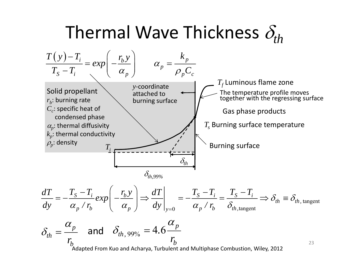# Thermal Wave Thickness  $\delta_{th}$



$$
\frac{dT}{dy} = -\frac{T_S - T_i}{\alpha_p / r_b} \exp\left(-\frac{r_b y}{\alpha_p}\right) \Longrightarrow \frac{dT}{dy}\Big|_{y=0} = -\frac{T_S - T_i}{\alpha_p / r_b} = \frac{T_S - T_i}{\delta_{th, tangent}} \Longrightarrow \delta_{th} \equiv \delta_{th, tangent}
$$

23

$$
\delta_{th} = \frac{\alpha_p}{r_b}
$$
 and  $\delta_{th, 99\%} = 4.6 \frac{\alpha_p}{r_b}$   
Adapted From Kuo and Acharya, Turbulent and Multiphase Combustion, Wiley, 2012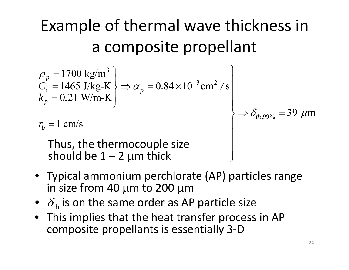# Example of thermal wave thickness in a composite propellant

$$
\rho_p = 1700 \text{ kg/m}^3
$$
  
\n
$$
C_c = 1465 \text{ J/kg-K}
$$
  
\n
$$
k_p = 0.21 \text{ W/m-K}
$$
  
\n
$$
r_b = 1 \text{ cm/s}
$$
  
\nThus, the thermocouple size should be 1 – 2 µm thick

- Typical ammonium perchlorate (AP) particles range in size from 40  $\mu$ m to 200  $\mu$ m
- $\bullet$   $\delta_{\rm th}$  is on the same order as AP particle size
- This implies that the heat transfer process in AP composite propellants is essentially 3 ‐ D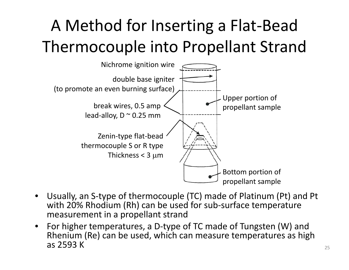# A Method for Inserting <sup>a</sup> Flat‐Bead Thermocouple into Propellant Strand



- • Usually, an S‐type of thermocouple (TC) made of Platinum (Pt) and Pt with 20% Rhodium (Rh) can be used for sub‐surface temperature measurement in <sup>a</sup> propellant strand
- $\bullet$  For higher temperatures, <sup>a</sup> D‐type of TC made of Tungsten (W) and Rhenium (Re) can be used, which can measure temperatures as high as 2593 K $\sim$  25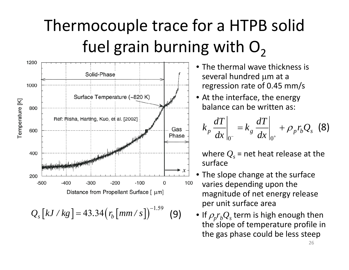## Thermocouple trace for <sup>a</sup> HTPB solid fuel grain burning with  $O<sub>2</sub>$



- The thermal wave thickness is several hundred μ<sup>m</sup> at <sup>a</sup> regression rate of  $0.45$  mm/s
- At the interface, the energy balance can be written as:

$$
k_p \frac{dT}{dx}\bigg|_{0^-} = k_g \frac{dT}{dx}\bigg|_{0^+} + \rho_p r_b Q_s \quad (8)
$$

where  $\mathcal{Q}_s$  = net heat release at the surface

- • The slope change at the surface varies depending upon the magnitude of net energy release per unit surface area
- If  $\rho_p r_b Q_s$  term is high enough then the slope of temperature profile in the gas phase could be less steep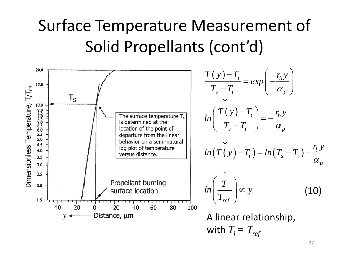### Surface Temperature Measurement of Solid Propellants (cont'd)

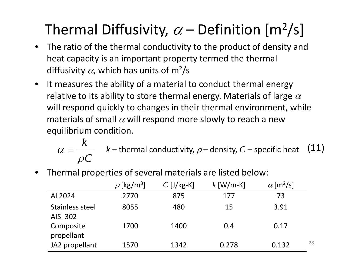#### Thermal Diffusivity,  $\alpha$  – Definition [m<sup>2</sup>/s]

- $\bullet$  The ratio of the thermal conductivity to the product of density and heat capacity is an important property termed the thermal diffusivity  $\alpha$ , which has units of m<sup>2</sup>/s
- $\bullet$  $\bullet$  It measures the ability of a material to conduct thermal energy relative to its ability to store thermal energy. Materials of large  $\alpha$ will respond quickly to changes in their thermal environment, while materials of small  $\alpha$  will respond more slowly to reach a new equilibrium condition.

 $\alpha = \frac{k}{\alpha - k}$  *k* – thermal conductivity,  $\rho$  – density, *C* – specific heat (11) *C* ρ  $\alpha = \frac{k}{\rho C}$   $k$  – thermal conductivity,  $\rho$  – density,  $C$  – specific heat (11)<br>
hermal properties of several materials are listed below:<br>  $\rho$ [kg/m<sup>3</sup>]  $C$  [J/kg-K]  $k$  [W/m-K]  $\alpha$  [m<sup>2</sup>/s]<br>
Al 2024 2770 875 177 73

- $\rho$  [kg/m<sup>3</sup>]  $C$  [J/kg-K]  $k$  [W/m-K]  $\alpha$  [m<sup>2</sup>/s] 2024 2770 875 177 73Stainless steel AISI 3028055 480 15 3.91Composite propellant 1700 1400 0.4 0.17JA2 propellant  $1570$   $1342$   $0.278$   $0.132$   $^{28}$
- •Thermal properties of several materials are listed below: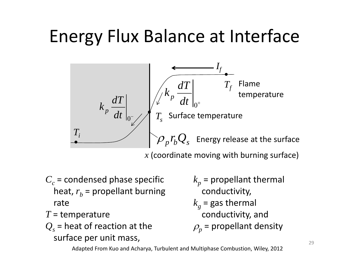# Energy Flux Balance at Interface



 $x$  (coordinate moving with burning surface)

- $C_c$  = condensed phase specific  $k_p$  = propellant thermal heat*,*  $r_{b}$  = propellant burning rate
- *T* <sup>=</sup> temperature
- $\mathcal{Q}_s$  = heat of reaction at the surface per unit mass,
- $k_p$  = propellant thermal conductivity,
- $k_g$  = gas thermal conductivity, and
- $\rho_p$  = propellant density

Adapted From Kuo and Acharya, Turbulent and Multiphase Combustion, Wiley, 2012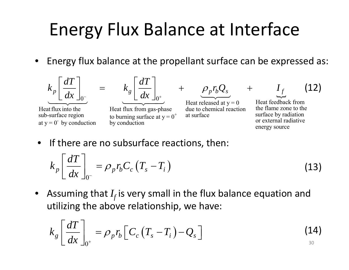# Energy Flux Balance at Interface

• Energy flux balance at the propellant surface can be expressed as:



•• If there are no subsurface reactions, then:

$$
k_p \left[ \frac{dT}{dx} \right]_{0^-} = \rho_p r_b C_c \left( T_s - T_i \right) \tag{13}
$$

 $\bullet$   $\;$  Assuming that  $I_f$  is very small in the flux balance equation and utilizing the above relationship, we have:

$$
k_g \left[ \frac{dT}{dx} \right]_{0^+} = \rho_p r_b \left[ C_c \left( T_s - T_i \right) - Q_s \right]
$$
 (14)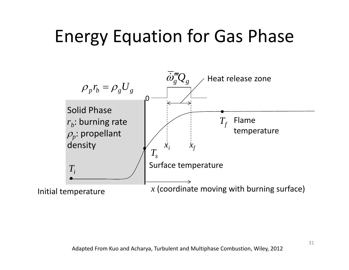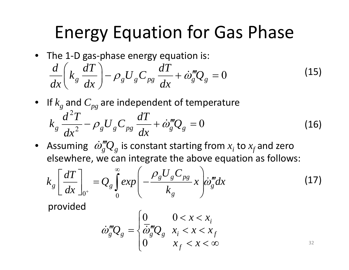• The 1-D gas-phase energy equation is:

$$
\frac{d}{dx}\left(k_g\frac{dT}{dx}\right)-\rho_g U_g C_{pg}\frac{dT}{dx}+\dot{\omega}_g'''Q_g=0
$$
\n(15)

- $\bullet$  If  $k_{_g}$  and  $C_{pg}$  are independent of temperature  $d^2T$  *dT* 2  $k_g \frac{d^2L}{dx^2} - \rho_g U_g C_{pg} \frac{dL}{dx} + \dot{\omega}_g^m Q_g = 0$ (16)
- Assuming  $\phi_{g}'''Q_{g}$  is constant starting from  $x_{i}$  to  $x_{f}$  and zero elsewhere, we can integrate the above equation as follows:

$$
k_g \left[\frac{dT}{dx}\right]_{0^+} = Q_g \int_0^\infty exp\left(-\frac{\rho_g U_g C_{pg}}{k_g} x\right) \dot{\omega}_g^m dx \tag{17}
$$

provided

$$
\dot{\omega}_g'''Q_g = \begin{cases} 0 & 0 < x < x_i \\ \overline{\dot{\omega}}_g'''Q_g & x_i < x < x_f \\ 0 & x_f < x < \infty \end{cases} \tag{32}
$$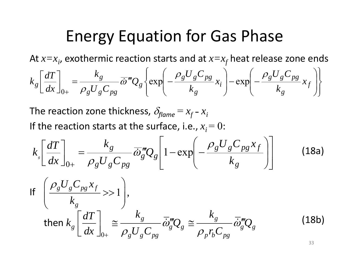At  $x{=}x_i$ , exothermic reaction starts and at  $x{=}x_f$  heat release zone ends ⎪  $\left\{ \right\}$  $\left[\begin{array}{cc} \rho_g U_g C_{pg} \end{array}\right] \left[\begin{array}{cc} \rho_g U_g C_{pg} \end{array}\right]$ ⎨  $\sqrt{2}$ ⎟  $\overline{\phantom{a}}$  $\left( \begin{array}{c} \rho_{\alpha} U_{\alpha} C_{\alpha} \end{array} \right)$  $\overline{\phantom{a}}$ ⎜  $|- \exp |-$ ⎟  $\left( \begin{array}{c} \rho_a U_a C_{\text{no}} \end{array} \right)$  $\overline{\phantom{a}}$ ⎜ = $\int_{a} = \frac{g}{2 L C} \overline{\omega}^{m} Q_{g} \left\{ \exp \left[ -\frac{g}{2 L C} \right] \right\}$  $\overline{\phantom{a}}$  $\left\lceil \frac{dT}{dx} \right\rceil$  $\overline{a}$  $\overline{\phantom{a}}$ *f g g pg i g g pg g g*  $g\left[\frac{1}{dx}\right] = \frac{1}{2L} \int_{0}^{\infty} \frac{d\theta}{dx} d\theta$   $Q_g \left\{ \exp\left[-\frac{1}{2} \frac{d\theta}{dx} x_i\right] - \exp\left[-\frac{1}{2} \frac{d\theta}{dx} x_i\right] \right\}$  $\mathcal{L}_{x_i}$   $-\exp\left(-\frac{\rho_g U_g C}{2}\right)$ *U C*  $k_g \left[ \frac{dT}{dt} \right] = \frac{k_g}{\sigma^2} \frac{d^2y}{dt^2}$  $\rho_{\varrho} U_{\varrho} C_{p\varrho}$  |  $\rho$  $\omega''Q_{\varrho}$  exp  $-\frac{5}{1}$   $\frac{8}{1}$   $\frac{8}{1}$   $\varrho_{\varrho}$   $x_i$   $\vert -\exp$ ⎪⎭ ⎪⎩ ⎠ ⎝ ⎠ ⎝ <sup>+</sup> *g g g g pg k k dx U C*  $\rho_{\rm +}$   $\rho_{\rm g} U_{\rm g} C_{\rm pg}$ 

The reaction zone thickness,  $\delta_{\mathit{flame}}\,{=}\,x_{\mathit{f}}$  -  $x_{\mathit{i}}$ If the reaction starts at the surface, i.e.,  $x_{\vec{i}}\!=0$ :

$$
k_s \left[ \frac{dT}{dx} \right]_{0+} = \frac{k_g}{\rho_g U_g C_{pg}} \overline{\dot{\omega}}_g^m Q_g \left[ 1 - \exp \left( -\frac{\rho_g U_g C_{pg} x_f}{k_g} \right) \right]
$$
(18a)

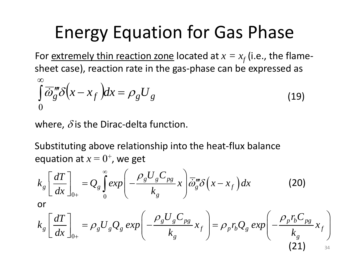For <u>extremely thin reaction zone</u> located at  $x = x_f$  (i.e., the flamesheet case), reaction rate in the gas‐phase can be expressed as ∞

$$
\int_{0}^{\infty} \overline{\omega}_{g}^{m} \delta\left(x - x_{f}\right) dx = \rho_{g} U_{g}
$$
\n(19)

where,  $\delta$  is the Dirac-delta function.

Substituting above relationship into the heat‐flux balance equation at  $x = 0<sup>+</sup>$ , we get

$$
k_g \left[ \frac{dT}{dx} \right]_{0+} = Q_g \int_0^\infty exp \left( -\frac{\rho_g U_g C_{pg}}{k_g} x \right) \overline{\dot{\omega}}_g^m \delta \left( x - x_f \right) dx \qquad (20)
$$
  
or  

$$
k_g \left[ \frac{dT}{dx} \right]_{0+} = \rho_g U_g Q_g \exp \left( -\frac{\rho_g U_g C_{pg}}{k_g} x_f \right) = \rho_p r_b Q_g \exp \left( -\frac{\rho_p r_b C_{pg}}{k_g} x_f \right)
$$

 $(21)$  34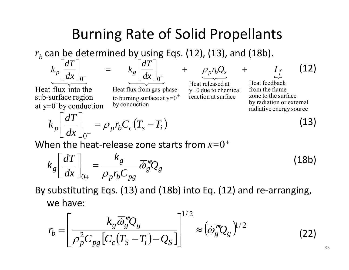#### Burning Rate of Solid Propellants

 $r_b$  can be determined by using Eqs. (12), (13), and (18b).

$$
k_p \left[ \frac{dT}{dx} \right]_0
$$

at y= $0^{\text{-}}$ by conduction

sub -surface region Heat flux into the

$$
k_g \left[ \frac{dT}{dx} \right]_{0^+}
$$

 reaction at surfacey to burning surface at y 0 = Heat flux from gas-phase =+

Heat released $\rho_p r_b Q_s$  +  $+$  $\underbrace{\qquad \qquad }$ 0 due to chemical

(12) ىب *f*

(13)

Heat feedback radiative energy source by radiation or external zone to the surface from the flame

*I*

$$
k_p \left[ \frac{dT}{dx} \right]_{0^-} = \rho_p r_b C_c (T_s - T_i)
$$

=

When the heat ‐release zone starts from *x=* 0*+*

by conduction

$$
k_g \left[ \frac{dT}{dx} \right]_{0+} = \frac{k_g}{\rho_p r_b C_{pg}} \overline{\dot{\omega}}_g^m Q_g \tag{18b}
$$

By substituting Eqs. (13) and (18b) into Eq. (12) and re ‐arranging, we have:

$$
r_b = \left[\frac{k_g \overline{\dot{\omega}}_g^m Q_g}{\rho_p^2 C_{pg} \left[C_c (T_S - T_i) - Q_S\right]}\right]^{1/2} \approx \left(\overline{\dot{\omega}}_g^m Q_g\right)^{1/2} \tag{22}
$$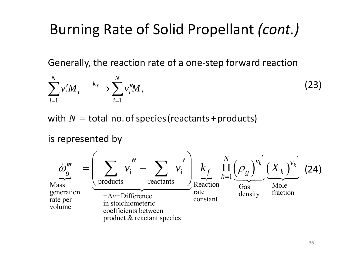#### Burning Rate of Solid Propellant *(cont.)*

Generally, the reaction rate of <sup>a</sup> one‐step forward reaction

$$
\sum_{i=1}^{N} v_i' M_i \xrightarrow{k_f} \sum_{i=1}^{N} v_i'' M_i
$$
 (23)

with  $N=$  total no. of species (reactants + products)

is represented by

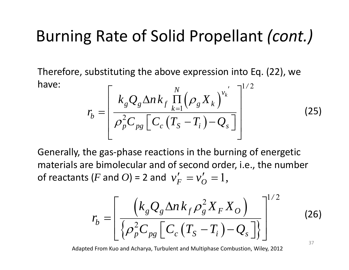#### Burning Rate of Solid Propellant *(cont.)*

Therefore, substituting the above expression into Eq. (22), we have: $\vdots$   $\qquad \qquad \vdots$   $\qquad \qquad \vdots$ ′

$$
r_b = \left[ \frac{k_g Q_g \Delta n k_f \prod_{k=1}^{N} (\rho_g X_k)^{v_k}}{\rho_p^2 C_{pg} \left[ C_c \left( T_s - T_i \right) - Q_s \right]} \right]^{1/2}
$$
(25)

Generally, the gas-phase reactions in the burning of energetic of reactants ( $F$  and  $O$ ) = 2 and  $\;{\nu_F^{\,\prime}} = {\nu_O^{\,\prime}} = 1,$ materials are bimolecular and of second order, i.e., the number

$$
r_b = \left[ \frac{\left(k_g Q_g \Delta n k_f \rho_g^2 X_F X_O\right)}{\left\{\rho_p^2 C_{pg} \left[C_c \left(T_S - T_i\right) - Q_s\right]\right\}} \right]^{1/2} \tag{26}
$$

Adapted From Kuo and Acharya, Turbulent and Multiphase Combustion, Wiley, 2012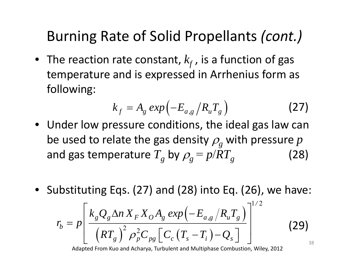#### Burning Rate of Solid Propellants *(cont.)*

 $\bullet~$  The reaction rate constant,  $k_{\!f}$  , is a function of gas temperature and is expressed in Arrhenius form as following:

$$
k_f = A_g \exp\left(-E_{a,g}/R_u T_g\right) \tag{27}
$$

- Under low pressure conditions, the ideal gas law can be used to relate the gas density  $\rho_{_g}$  with pressure  $p$ and gas temperature  $T_{\textit{g}}$  by  $\rho_{\textit{g}}^{} = p / R T_{\textit{g}}^{}$  (28)
- Substituting Eqs. (27) and (28) into Eq. (26), we have:

$$
r_b = p \left[ \frac{k_g Q_g \Delta n X_F X_O A_g \exp \left( -E_{a,g} / R_u T_g \right)}{\left( RT_g \right)^2 \rho_p^2 C_{pg} \left[ C_c \left( T_s - T_i \right) - Q_s \right]} \right]^{1/2} \tag{29}
$$

Adapted From Kuo and Acharya, Turbulent and Multiphase Combustion, Wiley, 2012